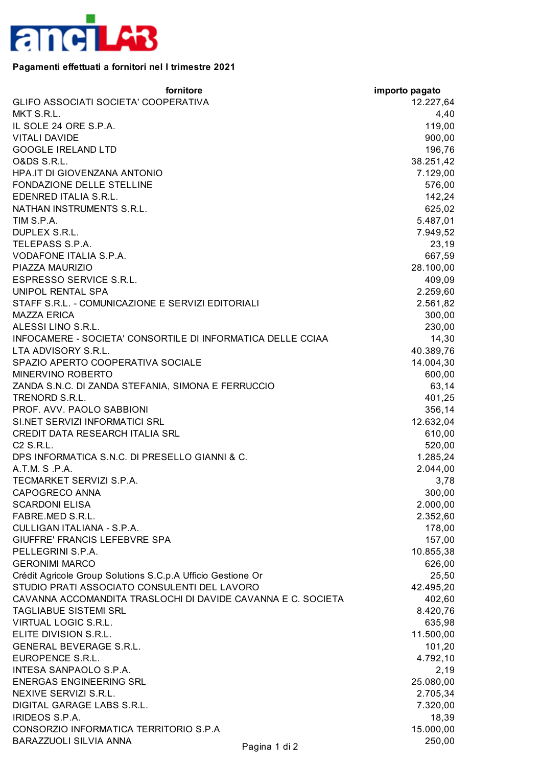

## **Pagamenti effettuati a fornitori nel I trimestre 2021**

| fornitore                                                    | importo pagato |
|--------------------------------------------------------------|----------------|
| GLIFO ASSOCIATI SOCIETA' COOPERATIVA                         | 12.227,64      |
| MKT S.R.L.                                                   | 4,40           |
| IL SOLE 24 ORE S.P.A.                                        | 119,00         |
| <b>VITALI DAVIDE</b>                                         | 900,00         |
| <b>GOOGLE IRELAND LTD</b>                                    | 196,76         |
| O&DS S.R.L.                                                  | 38.251,42      |
| HPA.IT DI GIOVENZANA ANTONIO                                 | 7.129,00       |
| <b>FONDAZIONE DELLE STELLINE</b>                             | 576,00         |
| EDENRED ITALIA S.R.L.                                        | 142,24         |
| NATHAN INSTRUMENTS S.R.L.                                    | 625,02         |
| TIM S.P.A.                                                   | 5.487,01       |
| DUPLEX S.R.L.                                                | 7.949,52       |
| TELEPASS S.P.A.                                              | 23,19          |
| VODAFONE ITALIA S.P.A.                                       | 667,59         |
| PIAZZA MAURIZIO                                              | 28.100,00      |
| ESPRESSO SERVICE S.R.L.                                      | 409,09         |
| UNIPOL RENTAL SPA                                            | 2.259,60       |
| STAFF S.R.L. - COMUNICAZIONE E SERVIZI EDITORIALI            | 2.561,82       |
| <b>MAZZA ERICA</b>                                           | 300,00         |
| ALESSI LINO S.R.L.                                           | 230,00         |
| INFOCAMERE - SOCIETA' CONSORTILE DI INFORMATICA DELLE CCIAA  | 14,30          |
| LTA ADVISORY S.R.L.                                          | 40.389,76      |
| SPAZIO APERTO COOPERATIVA SOCIALE                            | 14.004,30      |
| MINERVINO ROBERTO                                            | 600,00         |
| ZANDA S.N.C. DI ZANDA STEFANIA, SIMONA E FERRUCCIO           | 63,14          |
| TRENORD S.R.L.                                               | 401,25         |
| PROF. AVV. PAOLO SABBIONI                                    | 356,14         |
| SI.NET SERVIZI INFORMATICI SRL                               | 12.632,04      |
| <b>CREDIT DATA RESEARCH ITALIA SRL</b>                       | 610,00         |
| C2 S.R.L.                                                    | 520,00         |
| DPS INFORMATICA S.N.C. DI PRESELLO GIANNI & C.               | 1.285,24       |
| A.T.M. S.P.A.                                                | 2.044,00       |
| TECMARKET SERVIZI S.P.A.                                     | 3,78           |
| CAPOGRECO ANNA                                               | 300,00         |
| <b>SCARDONI ELISA</b>                                        | 2.000,00       |
| FABRE.MED S.R.L.                                             | 2.352,60       |
| CULLIGAN ITALIANA - S.P.A.                                   | 178,00         |
| GIUFFRE' FRANCIS LEFEBVRE SPA                                | 157,00         |
| PELLEGRINI S.P.A.                                            | 10.855,38      |
| <b>GERONIMI MARCO</b>                                        | 626,00         |
| Crédit Agricole Group Solutions S.C.p.A Ufficio Gestione Or  | 25,50          |
| STUDIO PRATI ASSOCIATO CONSULENTI DEL LAVORO                 | 42.495,20      |
| CAVANNA ACCOMANDITA TRASLOCHI DI DAVIDE CAVANNA E C. SOCIETA | 402,60         |
| <b>TAGLIABUE SISTEMI SRL</b>                                 | 8.420,76       |
| <b>VIRTUAL LOGIC S.R.L.</b>                                  | 635,98         |
| ELITE DIVISION S.R.L.                                        | 11.500,00      |
| <b>GENERAL BEVERAGE S.R.L.</b>                               | 101,20         |
| EUROPENCE S.R.L.                                             | 4.792,10       |
| INTESA SANPAOLO S.P.A.                                       | 2,19           |
| <b>ENERGAS ENGINEERING SRL</b>                               | 25.080,00      |
| NEXIVE SERVIZI S.R.L.                                        | 2.705,34       |
| DIGITAL GARAGE LABS S.R.L.                                   | 7.320,00       |
| IRIDEOS S.P.A.                                               | 18,39          |
| CONSORZIO INFORMATICA TERRITORIO S.P.A                       | 15.000,00      |
| BARAZZUOLI SILVIA ANNA<br>Pagina 1 di 2                      | 250,00         |